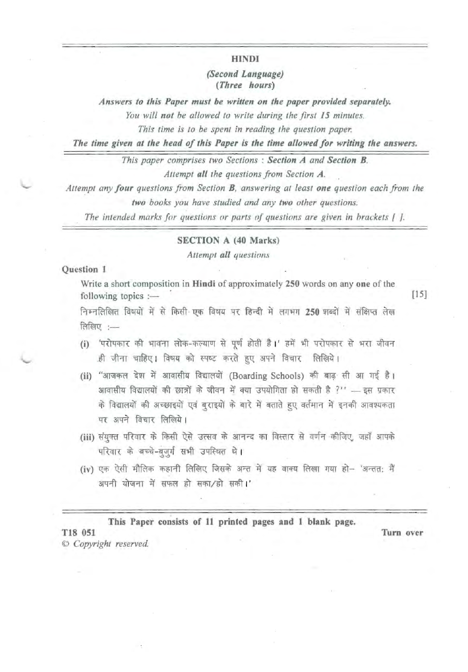HINDI

## *(Second Language) (Three hours)*

*Answers to this Paper must be written on the paper provided separately.* 

You will not be allowed to write during the first 15 minutes.

*This time is* 10 *be spent in reading the question paper.* 

*The time given at the head of this Paper is the time allowed for writing the answers.* 

*This paper comprises two Sections* : *Section A and Section B. Attempt all the questions from Section A.* 

*Attempt any four questions from Section B, answering at least one question each from the two books you have studied and any two other questions.* 

*The intended marks for questions or parIS of queslionsare given in hrackets* { J.

#### SECTION A (40 Marks)

*Attempt all questions* 

### Question 1

Write a short composition in Hindi of approximately 250 words on anyone of the following topics  $:$  [15]

निम्नलिखित विषयों में से किसी एक विषय पर हिन्दी में लगभग 250 शब्दों में संक्षिप्त लेख लिखिए $:=$ 

- (i) 'परोपकार की भावना लोक-कल्याण से पूर्ण होती है।' हमें भी परोपकार से भरा जीवन .ही जीना चाहिए। विषय को स्पष्ट करते हुए अपने विचार लिखिये।
- (ii) "आजकल देश में आवासीय विद्यालयों (Boarding Schools) की बाढ़ सी आ गई है। आजकल दश न आपात्ताव विद्यालया (Boarding Schools) का बाढ़ ता आ गई है।<br>आवासीय विद्यालयों की छात्रों के जीवन में क्या उपयोगिता हो सकती है ?'' — इस प्रकार<br>के विद्यालयों की अच्छाइयों एवं बुराइयों के बारे में बताते हुए वर्तमान म पर अपने विचार लिखिये।
- पर अपने विचार लिखिये।<br>(iii) संयुक्त परिवार के किसी ऐसे उत्सव <mark>के</mark> आनन्द का विस्तार से वर्णन कीजिए, जहाँ आपके परिवार के बच्चे-बुज़ूर्ग सभी उपस्थित थे।
- (iv) एक ऐसी मौलिक कहानी लिखिए जिसके अन्त में यह वाक्य लिखा गया हो- 'अन्तत: मैं अपनी योजना में सफल हो सका/हो सकी।'

. This Paper consists of 11 printed pages and 1 blank page.

T18 051 Turn over © *Copyright reserved.*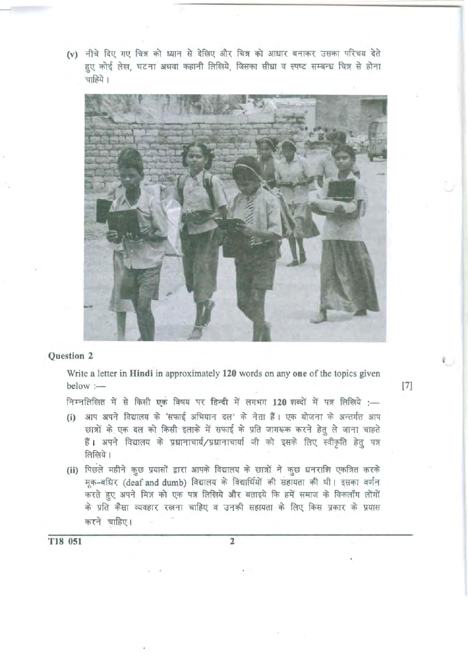(v) नीचे दिए गए चित्र को ध्यान से देखिए और चित्र को आधार बनाकर उसका परिचय देते हुए कोई लेख, घटना अथवा कहानी लिखिये, जिसका सीधा व स्पष्ट सम्बन्ध चित्र से होना चाहिये।



### Question 2

Write a letter in **Hindi** in approximately 120 words on any one of the topics given below  $:$  [7]

निम्नलिखित में से किसी एक विषय पर हिन्दी में लगभग 120 शब्दों में पत्र लिखिये :-

- (i) आप अपने विद्यालय के 'सफाई अभियान दल' के नेता हैं। एक योजना के अन्तर्गत आप छात्रों के एक दल को किसी इलाके में सफाई के प्रति जागरूक करने हेतु ले जाना चाहते हैं। अपने विद्यालय के प्रधानाचार्य/प्रधानाचार्या जी को इसके लिए स्वीकृति हेतु पत्र लिखिये।
- (ii) पिछले महीने कुछ प्रयासों द्वारा आपके विद्यालय के छात्रों ने कुछ धनराशि एकत्रित करके मूक-बधिर (deaf and dumb) विद्यालय के विद्यार्थियों की सहायता की थी। इसका वर्णन करते हुए अपने मित्र को एक पत्र लिखिये और बताइये कि हमें समाज के विकलाँग लोगों के प्रति कैसा व्यवहार रखना चाहिए व उनकी सहायता के लिए किस प्रकार के प्रयास करने चाहिए।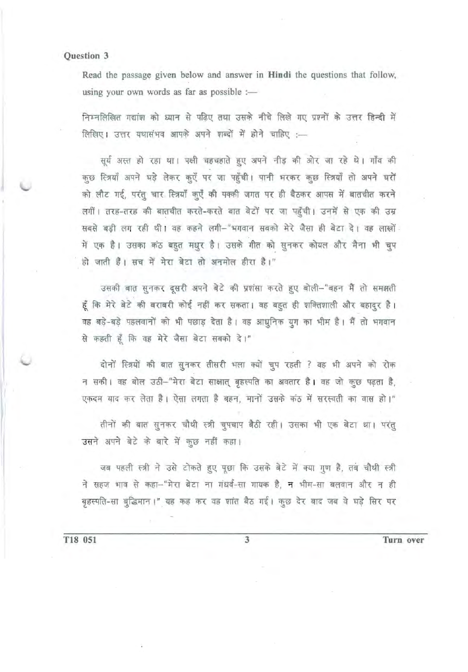Read the passage given below and answer in Hindi the questions that follow, using your own words as far as possible :-

निम्नलिखित गद्यांश को ध्यान से पढिए तथा उसके नीचे लिखे गए प्रश्नों के उत्तर हिन्दी में लिखिए। उत्तर यथासंभव आपके अपने शब्दों में होने चाहिए :-

सूर्य अस्त हो रहा था। पक्षी चहचहाते हुए अपने नीड़ की ओर जा रहे थे। गाँव की कुछ स्त्रियाँ अपने घड़े लेकर कुएँ पर जा पहुँची। पानी भरकर कुछ स्त्रियाँ तो अपने घरों को लौट गई, परंतु चार स्त्रियाँ कुएँ की पक्की जगत पर ही बैठकर आपस में बातचीत करने लगीं। तरह-तरह की बातचीत करते-करते बात बेटों पर जा पहुँची। उनमें से एक की उम्र सबसे बड़ी लग रही थी। वह कहने लगी-"भगवान सबको मेरे जैसा ही बेटा दे। वह लाखों में एक है। उसका कठ बहुत मधुर है। उसके गीत को सुनकर कोयल और मैना भी चुप ही जाती है। सच में मेरा बेटा तो अनमोल हीरा है।"

उसकी बात सुनकर दूसरी अपने बेटे की प्रशंसा करते हुए बोली-"बहन मैं तो समझती हूँ कि मेरे बेटे की बराबरी कोई नहीं कर सकता। वह बहुत ही शक्तिशाली और बहादुर है। वह बड़े-बड़े पहलवानों को भी पछाड़ देता है। वह आधुनिक युग का भीम है। मैं तो भगवान से कहती हूँ कि वह मेरे जैसा बेटा सबको दे।"

दोनों स्त्रियों की बात सुनकर तीसरी भला क्यों चुप रहती ? वह भी अपने को रोक न सकी। वह बोल उठी-"मेरा बेटा साक्षात् बृहस्पति का अवतार है। वह जो कुछ पढ़ता है, एकदम याद कर लेता है। ऐसा लगता है बहन, मानों उसके कठ में सरस्वती का वास हो।"

तीनों की बात सुनकर चौथी स्त्री चुपचाप बैठी रही। उसका भी एक बेटा था। परंतु उसने अपने बेटे के बारे में कुछ नहीं कहा।

जब पहली स्त्री ने उसे टोकते हुए पूछा कि उसके बेटे में क्या गुण है, तब चौथी स्त्री ने सहज भाव से कहा-"मेरा बेटा ना गंधर्व-सा गायक है, न भीम-सा बलवान और न ही बृहस्पति-सा बुद्धिमान।" यह कह कर वह शांत बैठ गई। कुछ देर बाद जब वे घड़े सिर पर

T18 051

Turn over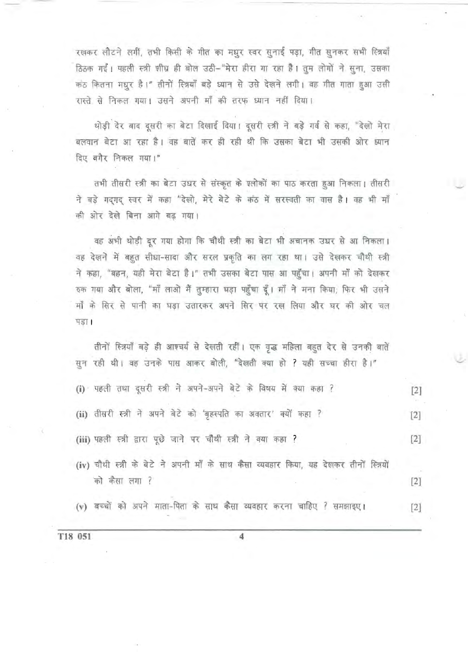रखकर लौटने लगीं, तभी किसी के गीत का मधुर स्वर सुनाई पड़ा, गीत सुनकर सभी स्त्रियाँ ठिठक गईं। पहली स्त्री शीघ्र ही बोल उठी-"मेरा हीरा गा रहा है। तुम लोगों ने सुना, उसका कठ कितना मधुर है।" तीनों स्त्रियाँ बड़े ध्यान से उसे देखने लगी। वह गीत गाता हुआ उसी रास्ते से निकल गया। उसने अपनी माँ की तरफ ध्यान नहीं दिया।

थोड़ी देर बाद दूसरी का बेटा दिखाई दिया। दूसरी स्त्री ने बड़े गर्व से कहा, "देखो मेरा बलवान बेटा आ रहा है। वह बातें कर ही रही थी कि उसका बेटा भी उसकी ओर ध्यान दिए बगैर निकल गया।"

तभी तीसरी स्त्री का बेटा उधर से संस्कृत के श्लोकों का पाठ करता हुआ निकला। तीसरी ने बड़े गदगद स्वर में कहा "देखो, मेरे बेटे के कंठ में सरस्वती का वास है। वह भी माँ की ओर देखे बिना आगे बढ गया।

वह अभी थोड़ी दूर गया होगा कि चौथी स्त्री का बेटा भी अचानक उधर से आ निकला। वह देखने में बहुत सीधा-सादा और सरल प्रकृति का लग रहा था। उसे देखकर चौथी स्त्री ने कहा, "बहन, यही मेरा बेटा है।" तभी उसका बेटा पास आ पहुँचा। अपनी माँ को देखकर रुक गया और बोला, "माँ लाओ मैं तुम्हारा घड़ा पहुँचा दूँ। माँ ने मना किया; फिर भी उसने माँ के सिर से पानी का घड़ा उतारकर अपने सिर पर रख लिया और घर की ओर चल पड़ा।

तीनों स्त्रियाँ बड़े ही आश्चर्य से देखती रहीं। एक वृद्ध महिला बहुत देर से उनकी बातें सुन रही थी। वह उनके पास आकर बोली, "देखती क्या हो ? यही सच्चा हीरा है।"

| (i) पहली तथा दूसरी स्त्री ने अपने-अपने बेटे के विषय में क्या कहा ?                                       | [2]   |
|----------------------------------------------------------------------------------------------------------|-------|
| (ii) तीसरी स्त्री ने अपने बेटे को 'बृहस्पति का अवतार' क्यों कहा ?                                        | $[2]$ |
| (iii) पहली स्त्री द्वारा पूछे जाने पर चौथी स्त्री ने क्या कहा ?                                          | $[2]$ |
| (iv) चौथी स्त्री के बेटे ने अपनी माँ के साथ कैसा व्यवहार किया, यह देखकर तीनों स्त्रियों<br>को कैसा लगा ? | $[2]$ |
| (v) बच्चों को अपने माता-पिता के साथ कैसा व्यवहार करना चाहिए ? समझाइए।                                    | $[2]$ |

4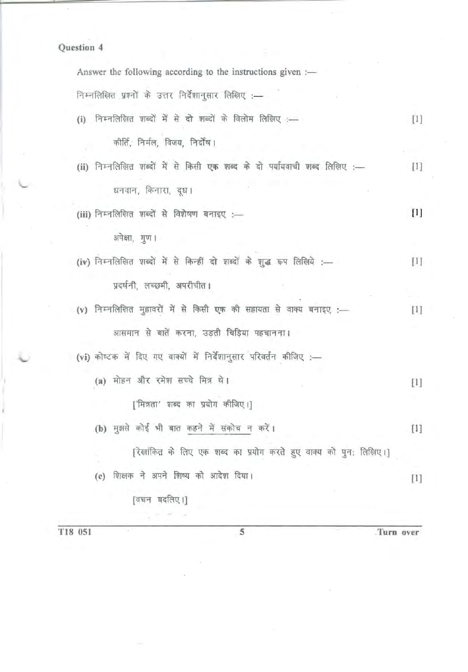| Answer the following according to the instructions given :-               |                                                                                                                                                                                                                                           |
|---------------------------------------------------------------------------|-------------------------------------------------------------------------------------------------------------------------------------------------------------------------------------------------------------------------------------------|
| निम्नलिखित प्रश्नों के उत्तर निर्देशानुसार लिखिए :-                       |                                                                                                                                                                                                                                           |
| (i) निम्नलिखित शब्दों में से दो शब्दों के विलोम लिखिए :-                  | $[1]$                                                                                                                                                                                                                                     |
| कीर्ति, निर्मल, विजय, निर्दोष।                                            |                                                                                                                                                                                                                                           |
| (ii) निम्नलिखित शब्दों में से किसी एक शब्द के दो पर्यायवाची शब्द लिखिए :- | $[1]$                                                                                                                                                                                                                                     |
| धनवान, किनारा, दूध।                                                       |                                                                                                                                                                                                                                           |
| (iii) निम्नलिखित शब्दों से विशेषण बनाइए :-                                | $[1] % \centering \includegraphics[width=0.9\columnwidth]{figures/fig_10.pdf} \caption{The figure shows the number of times of the estimators in the left and right.} \label{fig:fig_11}} %$                                              |
| अपेक्षा, गुण।                                                             |                                                                                                                                                                                                                                           |
| (iv) निम्नलिखित शब्दों में से किन्हीं दो शब्दों के शुद्ध रूप लिखिये :---  | $[1] % \centering \includegraphics[width=0.47\textwidth]{images/TrDiM-Architecture.png} \caption{The image shows the number of parameters in the left and right.} \label{TrDiM-Architecture}$                                             |
| प्रदर्षनी, लच्छमी, अपरीचीत।                                               |                                                                                                                                                                                                                                           |
| (v) निम्नलिखित मुहावरों में से किसी एक की सहायता से वाक्य बनाइए :-        | $[1]$                                                                                                                                                                                                                                     |
| आसमान से बातें करना, उड़ती चिड़िया पहचानना।                               |                                                                                                                                                                                                                                           |
| (vi) कोष्टक में दिए गए वाक्यों में निर्देशानुसार परिवर्तन कीजिए :-        |                                                                                                                                                                                                                                           |
| (a) मोहन और रमेश सच्चे मित्र थे।                                          | $[1] % \includegraphics[width=0.9\columnwidth]{figures/fig_10.pdf} \caption{The graph $\mathcal{N}_1$ is a function of the number of times, and the number of times, and the number of times, are indicated in the right.} \label{fig:1}$ |
| ['मित्रता' शब्द का प्रयोग कीजिए।]                                         |                                                                                                                                                                                                                                           |
| (b) मुझसे कोई भी बात कहने में संकोच न करें।                               | $[1]$                                                                                                                                                                                                                                     |
| [रेखांकित के लिए एक शब्द का प्रयोग करते हुए वाक्य को पुन: लिखिए।]         |                                                                                                                                                                                                                                           |
| शिक्षक ने अपने शिष्य को आदेश दिया।<br>(c)                                 | $[1]$                                                                                                                                                                                                                                     |
| [वचन बदलिए।]                                                              |                                                                                                                                                                                                                                           |
|                                                                           |                                                                                                                                                                                                                                           |

T18 051 5 Turn over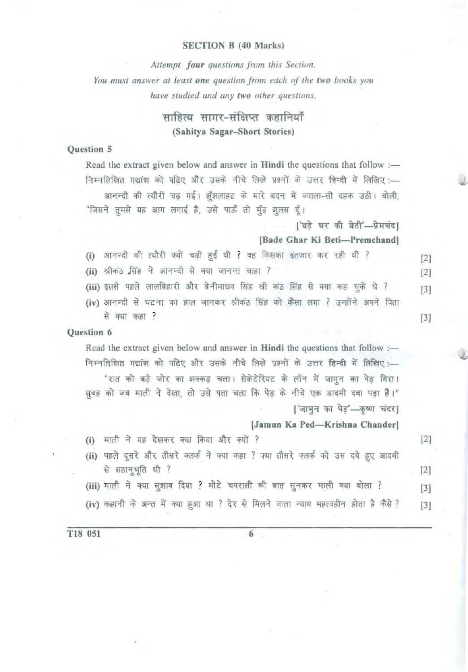## SECTION B (40 Marks)

*Attempt four questions from this Section.*  You must answer at least one question from each of the two books you *have studied and any two other questions.* 

# साहित्य सागर-संक्षिप्त कहानियाँ (Sahitya Sagar-Short Stories)

## Question 5

Read the extract given below and answer in Hindi the questions that follow : निम्नलिखित गद्यांश को पढ़िए और उसके नीचे लिखे प्रश्नों के उत्तर हिन्दी में लिखिए :-आनन्दी की त्यौरी चढ़ गई। झूँझलाहट के मारे बदन में ज्वाला-सी दहक उठी। बोली, "जिसने तुमसे यह आग लगाई है, उसे पाऊँ तो मुँह झूलस दूँ।

. ['बड़े घर की बेटी'-प्रेमचंद]

(Bade Ghar Ki Beti-Premchand)

- (i) आनन्दी की त्यौरी क्यों चढ़ी हुई थी ? वह किसका इंतजार कर रही थी ? [2]
- (ii) श्रीकंठ सिंह ने आनन्दी से क्या जानना चाहा ? बिंग से स्था है [2]
- (iii) इससे पहले लालबिहारी और बेनीमाधव सिंह श्री कठ सिंह से क्या कह चुके थे ? [3]
- (iv) आनन्दी से घटना का हाल जानकर श्रीकंठ सिंह को कैंसा लगा ? उन्होंने अपने पिता से क्या कहा ?  $[3]$

# Question 6

Read the extract given below and answer in Hindi the questions that follow : निम्नलिखित गद्यांश को पढ़िए और उसके नीचे लिखे प्रश्नों के उत्तर हिन्दी में लिखिए :-

"रात को बड़े जोर का झक्कड़ चला। सेक्रेटेरियट के लॉन में जामून का पेड़ गिरा। सूबह को जब माली ने देखा, तो उसे पता चला कि पेड़ के नीचे एक आदमी दबा पड़ा है।" ['जामुन का पेड़'-कृष्ण चंदर]

### [Jamun Ka Ped-Krishna Chander]

(i) माली ने यह देखकर क्या किया और क्यों ? [2]

- (ii) पहले दूसरे और तीसरे क्लर्क ने क्या कहा ? क्या तीसरे क्लर्क को उस दबे हुए आदमी से सहानुभूति थी ?  $[2]$
- (iii) माली ने क्या सुझाव दिया ? मोटे चपरासी की बात सुनकर माली क्या बोला ? [3]
- (iv) कहानी के अन्त में क्या हुआ था ? देर से मिलने वाला न्याय महत्वहीन होता है कैसे ? [3]

T18 051 6 6 6 1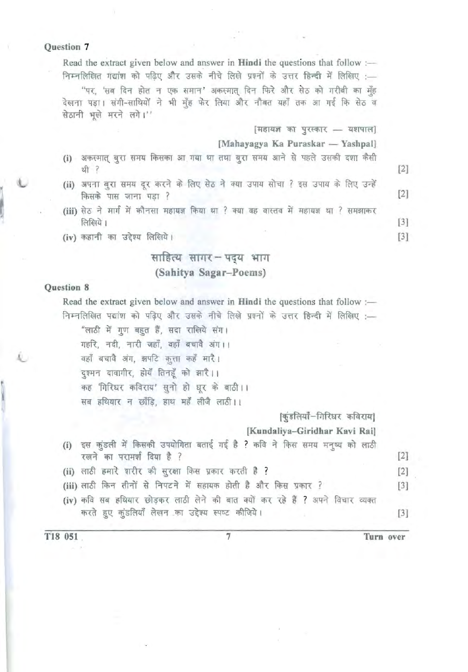Read the extract given below and answer in Hindi the questions that follow : निम्नलिखित गद्यांश को पढिए और उसके नीचे लिखे प्रश्नों के उत्तर हिन्दी में लिखिए :-

"पर, 'सब दिन होत न एक समान' अकस्मात् दिन फिरे और सेठ को गरीबी का मुँह देखना पड़ा। संगी-साथियों ने भी मुँह फेर लिया और नौबत यहाँ तक आ गई कि सेठ व सेठानी भूखे मरने लगे।''

 $[$  महायज्ञ का पुरस्कार - यशपाल]

[Mahayagya Ka Puraskar - Yashpal]

- (i) अकस्मात् बुरा समय किसका आ गया था तथा बुरा समय आने से पहले उसकी दशा कैसी<br>थी ? थी ? $[2]$
- था ।<br>(ii) अपना बुरा समय दूर करने के लिए सेठ ने क्या उपाय सोचा ? इस رے]<br>बुरा समय दूर करने के लिए सेठ ने क्या उपाय सोचा ? इस उपाय के लिए उन्हें<br>[2]
- (iii) सेठ ने मार्ग में कौनसा महायज्ञ किया था ? क्या वह वास्तव में महायज्ञ था ? समझाकर  $\sqrt{13}$
- (iv) कहानी का उद्देश्य लिखिये।  $[3]$

# साहित्य सागर-पद्य भाग (Sahitya Sagar-Poems)

### Question 8

Read the extract given below and answer in Hindi the questions that follow : निम्नलिखित पद्यांश को पढिए और उसके नीचे लिखे प्रश्नों के उत्तर हिन्दी में लिखिए :-"लाठी में गुण बहुत हैं, सदा राखिये संग।

गहरि, नदी, नारी जहाँ, वहाँ बचावै अंग।।

वहाँ बचावै अंग, झपटि कृता कहँ मारै।

दुश्मन दावागीर, होयँ तिनहुँ को झारै।।

दुश्मन दावागार, हाय ातनहू का झार ।।<br>कह 'गिरिधर कविराय' सुनो हो धूर के बाठी । ।

सब हथियार न छाँडि, हाथ महँ लीजै लाठी।।

[कुंडलियाँ-गिरिधर कविराय] (Kundaliya-Giridhar Kavi Rai)

(i) इस कुंडली में किसकी उपयोगिता बताई गई है ? कवि ने किस समय मनुष्य को लाठी रखने का परामर्श दिया है ?  $[2]$ (ii) लाठी हमारे शरीर की सुरक्षा किस प्रकार करती है ? बिकेटिक को स्था है ? किसी के स्थापिक करती है ? किसी के स् (iii) लाठी किन तीनों से निपटने में सहायक होती है और किस प्रकार ? [3] (iv) कवि सब हथियार छोड़कर लाठी लेने की बात क्यों कर रहे हैं ? अपने विचार व्यक्त ~ '!is~tli <fiT I [3]

T18 051

7 Turn over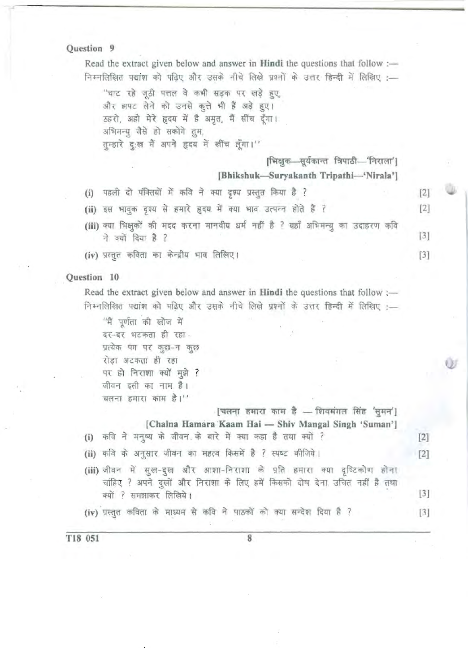| T18 051<br>8                                                                                                                                                                   |       |
|--------------------------------------------------------------------------------------------------------------------------------------------------------------------------------|-------|
| (iv) प्रस्तुत कविता के माध्यम से कवि ने पाठकों को क्या सन्देश दिया है ?                                                                                                        | $[3]$ |
| (iii) जीवन में सुख-दुख और आशा-निराशा के प्रति हमारा क्या दृष्टिकोण होना<br>चांहिए ? अपने दुखों और निराशा के लिए हमें किसको दोष देना उचित नहीं है तथा<br>क्यों ? समझाकर लिखिये। | $[3]$ |
| (ii) कवि के अनुसार जीवन का महत्व किसमें है ? स्पष्ट कीजिये।                                                                                                                    | $[2]$ |
| [चलना हमारा काम है — शिवमंगल सिंह 'सुमन']<br>[Chalna Hamara Kaam Hai - Shiv Mangal Singh 'Suman']<br>(i) कवि ने मनुष्य के जीवन के बारे में क्या कहा है तथा क्यों ?             | $[2]$ |
| चलना हमारा काम है।''                                                                                                                                                           |       |
| जीवन इसी का नाम है।                                                                                                                                                            |       |
| पर हो निराशा क्यों मुझे ?                                                                                                                                                      |       |
| प्रत्येक पग पर कुछ-न कुछ<br>रोड़ा अटकता ही रहा                                                                                                                                 |       |
| दर-दर भटकता ही रहा                                                                                                                                                             |       |
| ''नैं पूर्णता की खोज में                                                                                                                                                       |       |
| निम्नलिखित पद्यांश को पढ़िए और उसके नीचे लिखे प्रश्नों के उत्तर हिन्दी में लिखिए :—                                                                                            |       |
| Read the extract given below and answer in Hindi the questions that follow :-                                                                                                  |       |
| Question 10                                                                                                                                                                    |       |
| (iv) प्रस्तुत कविता का केन्द्रीय भाव लिखिए।                                                                                                                                    | $[3]$ |
| ने क्यों दिया है ?                                                                                                                                                             | $[3]$ |
| (iii) क्या भिक्षुकों की मदद करना मानवीय धर्म नहीं है ? यहाँ अभिमन्यु का उदाहरण कवि                                                                                             |       |
| (ii) इस भावुक दृश्य से हमारे हृदय में क्या भाव उत्पन्न होते हैं ?                                                                                                              | $[2]$ |
| पहली दो पंक्तियों में कवि ने क्या दृश्य प्रस्तुत किया है ?<br>(i)                                                                                                              | $[2]$ |
| [Bhikshuk-Suryakanth Tripathi-'Nirala']                                                                                                                                        |       |
| [भिक्षुक—सूर्यकान्त त्रिपाठी—'निराला']                                                                                                                                         |       |
| अभिमन्यु जैसे हो सकोगे तुम,<br>तुम्हारे दुःख मैं अपने हृदय में खींच लूँगा।''                                                                                                   |       |
| ठहरो, अहो मेरे हृदय में है अमृत, मैं सींच दूँगा।                                                                                                                               |       |
| "चाट रहे जूठी पत्तल वे कभी सड़क पर खड़े हुए,<br>और झपट लेने को उनसे कुत्ते भी हैं अड़े हुए।                                                                                    |       |
| निम्नलिखित पद्यांश को पढ़िए और उसके नीचे लिखे प्रश्नों के उत्तर हिन्दी में लिखिए :—                                                                                            |       |
| Read the extract given below and answer in <b>Hindi</b> the questions that follow $:$ —                                                                                        |       |
|                                                                                                                                                                                |       |

27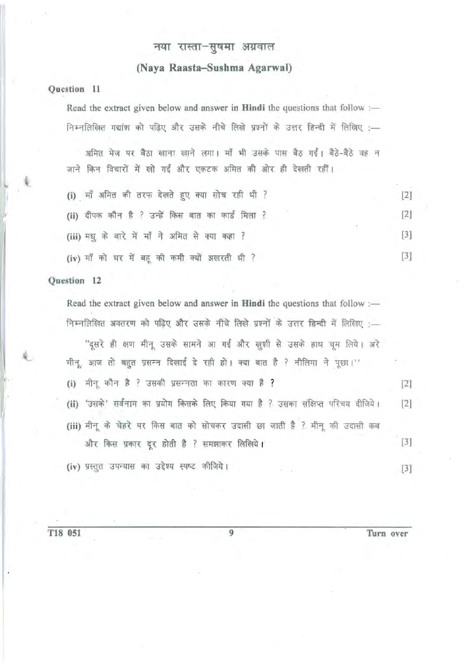# नया रास्ता-सूषमा अग्रवाल

## (Naya Raasta-Susbma Agarwal)

### Question 11

Read the extract given below and answer in Hindi the questions that follow : .. 1f{ @1T <sup>~</sup>WTT I llT ~ m -qm to ~, ~-~ Cffi' <sup>~</sup>

जाने किन विचारों में खो गईं और एकटक अमित की ओर ही देखती रहीं।

| (i) माँ अमित की तरफ देखते हुए क्या सोच रही थी ?   |  |
|---------------------------------------------------|--|
| (ii) दीपक कौन है ? उन्हें किस बात का कार्ड मिला ? |  |
| (iii) मधु के बारे में माँ ने अमित से क्या कहा ?   |  |
| (iv) माँ को घर में बहू की कमी क्यों अखरती थी ?    |  |

#### Question 12

Read the extract given below and answer in Hindi the questions that follow : निम्नलिखित अवतरण को पढ़िए और उसके नीचे लिखे प्रश्नों के उत्तर हिन्दी में लिखिए :-

''दूसरे ही क्षण मीनू उसके सामने आ गई और खुशी से उसके हाथ चूम लिये। अरे मीनू, आज तो बहुत प्रसन्न दिखाई दे रही हो। क्या बात है ? नीलिमा ने पूछा।'' (i) m ~ ? Slfl"1dl 'fiT ifif{Uf <flIT ~ ? [2] (ii) 'उसके' सर्वनाम का प्रयोग किसके लिए किया गया है ? उसका संक्षिप्त परिचय दीजिये। [2] (iii) मीनू के चेहरे पर किस बात को सोचकर उदासी छा जाती है ? मीनू की उदासी कब और किस प्रकार दूर होती है ? समझाकर लिखिये।  $[3]$ (iv) प्रस्तुत उपन्यास का उद्देश्य स्पष्ट कीजिये। संस्कृत का स्पष्ट कोजिये।

T18 051 9 Turn over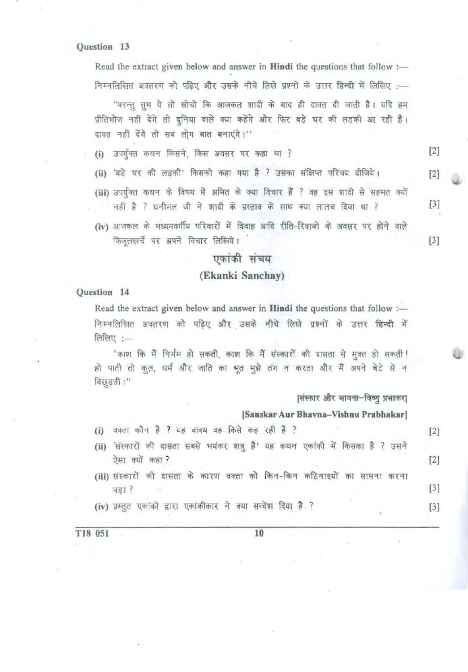Read the extract given below and answer in Hindi the questions that follow : निम्नलिखित अवतरण को पढ़िए और उसके नीचे लिखे प्रश्नों के उत्तर हिन्दी में लिखिए :-

''परन्तु तुम ये तो सोचो कि आजकल शादी के बाद ही दावत दी जाती है। यदि हम प्रीतिभोज नहीं देंगे तो दुनिया वाले क्या कहेंगे और फिर बड़े घर की लड़की आ रही है। दावत नहीं देंगे तो सब लोग बात बनाएंगे।"

(i) उपर्युक्त कथन किसने, किस अवसर पर कहा था ? [2]

- (ii) 'बड़े घर की लड़की' किसको कहा गया है ? उसका संक्षिप्त परिचय दीजिये। [2]
- (iii) उपर्युक्त कथन के विषय में अमित के क्या विचार हैं ? वह इस शादी से सहमत क्यों . नहीं है ? धनीमल जी ने शादी के प्रस्ताव के साथ क्या लालच दिया था ? [3]
- (iv) आजकल के मध्यमवर्गीय परिवारों में विवाह आदि रीति-रिवाजों के अवसर पर होने वाले  $\sqrt{F}$  फिजूलखर्चे पर अपने विचार लिखिये।  $[3]$

# एकांकी संचय

### (Ekanki Sanchay)

### Question 14

Read the extract given below and answer in Hindi the questions that follow : निम्नलिखित अवतरण को पढिए और उसके नीचे लिखे प्रश्नों के उत्तर हिन्दी में लिखिए $:=$ 

"काश कि मैं निर्मम हो सकती, काश कि मैं संस्कारों की दासता से मुक्त हो सकती ! हो पाती तो कुल, धर्म और जाति का भूत मुझे तंग न करता और मैं अपने बेटे से न बिछुड़ती ।'

|संस्कार और भावना-विष्णु प्रभाकर|

### (Sanskar Aur Bhavna-Vishnu Prabhakar]

- (i) वक्ता कौन है ? यह वाक्य वह किसे कह रही है ? [2]
- (ii) 'संस्कारों की दासता सबसे भयंकर शत्रू है' यह कथन एकांकी में किसका है ? उसने  $-\frac{1}{2}$   $\frac{1}{2}$
- (iii) संस्कारों की दासता के कारण वक्ता को किन-किन कठिनाइयों का सामना करना पड़ा ? सिंह को साथ करने के लिए जिसमें की साथ करने हैं। जिसमें के लिए अपनी साथ की साथ की साथ की साथ की साथ की स<br>जनसंख्या है कि अपनी साथ की साथ की साथ की साथ की साथ की साथ की साथ की साथ की साथ की साथ की साथ की साथ की साथ क
- (iv) प्रस्तुत एकांकी द्वारा एकांकीकार ने क्या सन्देश दिया है.? [3]

T18 051 10